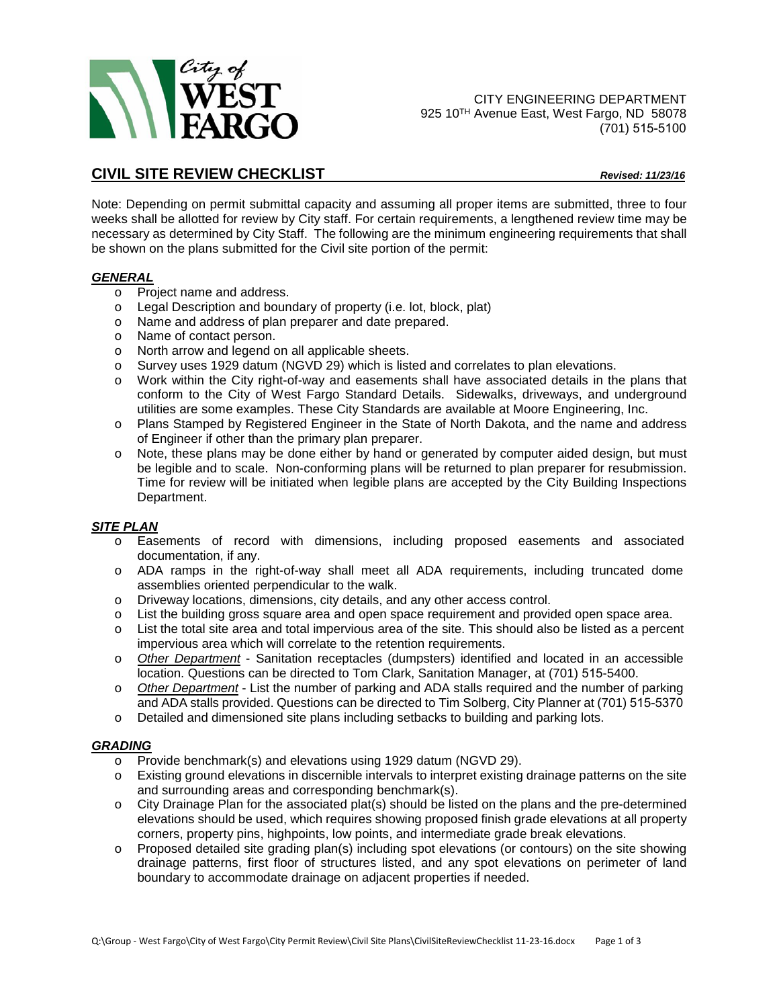

CITY ENGINEERING DEPARTMENT 925 10<sup>TH</sup> Avenue East, West Fargo, ND 58078 (701) 515-5100

# **CIVIL SITE REVIEW CHECKLIST** *Revised: 11/23/16*

Note: Depending on permit submittal capacity and assuming all proper items are submitted, three to four weeks shall be allotted for review by City staff. For certain requirements, a lengthened review time may be necessary as determined by City Staff. The following are the minimum engineering requirements that shall be shown on the plans submitted for the Civil site portion of the permit:

#### *GENERAL*

- o Project name and address.
- o Legal Description and boundary of property (i.e. lot, block, plat)
- o Name and address of plan preparer and date prepared.
- o Name of contact person.
- o North arrow and legend on all applicable sheets.
- o Survey uses 1929 datum (NGVD 29) which is listed and correlates to plan elevations.
- o Work within the City right-of-way and easements shall have associated details in the plans that conform to the City of West Fargo Standard Details. Sidewalks, driveways, and underground utilities are some examples. These City Standards are available at Moore Engineering, Inc.
- o Plans Stamped by Registered Engineer in the State of North Dakota, and the name and address of Engineer if other than the primary plan preparer.
- o Note, these plans may be done either by hand or generated by computer aided design, but must be legible and to scale. Non-conforming plans will be returned to plan preparer for resubmission. Time for review will be initiated when legible plans are accepted by the City Building Inspections Department.

## *SITE PLAN*

- o Easements of record with dimensions, including proposed easements and associated documentation, if any.
- o ADA ramps in the right-of-way shall meet all ADA requirements, including truncated dome assemblies oriented perpendicular to the walk.
- o Driveway locations, dimensions, city details, and any other access control.
- o List the building gross square area and open space requirement and provided open space area.
- o List the total site area and total impervious area of the site. This should also be listed as a percent impervious area which will correlate to the retention requirements.
- o *Other Department* Sanitation receptacles (dumpsters) identified and located in an accessible location. Questions can be directed to Tom Clark, Sanitation Manager, at (701) 515-5400.
- o *Other Department* List the number of parking and ADA stalls required and the number of parking and ADA stalls provided. Questions can be directed to Tim Solberg, City Planner at (701) 515-5370
- o Detailed and dimensioned site plans including setbacks to building and parking lots.

## *GRADING*

- o Provide benchmark(s) and elevations using 1929 datum (NGVD 29).
- o Existing ground elevations in discernible intervals to interpret existing drainage patterns on the site and surrounding areas and corresponding benchmark(s).
- o City Drainage Plan for the associated plat(s) should be listed on the plans and the pre-determined elevations should be used, which requires showing proposed finish grade elevations at all property corners, property pins, highpoints, low points, and intermediate grade break elevations.
- $\circ$  Proposed detailed site grading plan(s) including spot elevations (or contours) on the site showing drainage patterns, first floor of structures listed, and any spot elevations on perimeter of land boundary to accommodate drainage on adjacent properties if needed.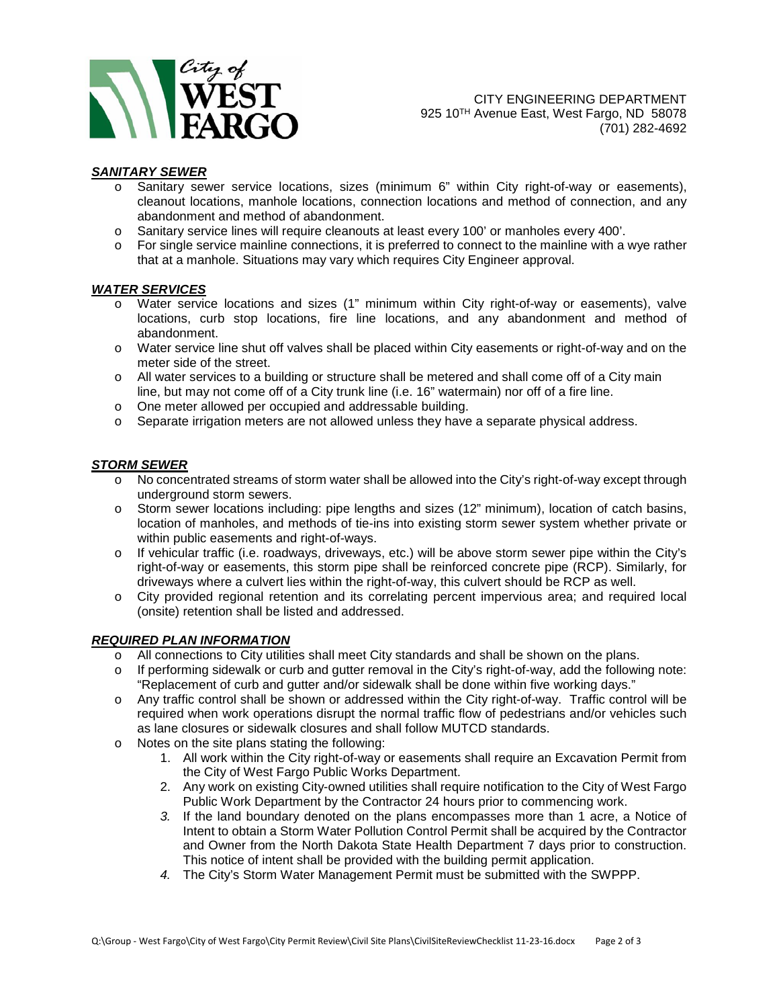

## *SANITARY SEWER*

- o Sanitary sewer service locations, sizes (minimum 6" within City right-of-way or easements), cleanout locations, manhole locations, connection locations and method of connection, and any abandonment and method of abandonment.
- o Sanitary service lines will require cleanouts at least every 100' or manholes every 400'.
- $\circ$  For single service mainline connections, it is preferred to connect to the mainline with a wye rather that at a manhole. Situations may vary which requires City Engineer approval.

#### *WATER SERVICES*

- o Water service locations and sizes (1" minimum within City right-of-way or easements), valve locations, curb stop locations, fire line locations, and any abandonment and method of abandonment.
- o Water service line shut off valves shall be placed within City easements or right-of-way and on the meter side of the street.
- o All water services to a building or structure shall be metered and shall come off of a City main line, but may not come off of a City trunk line (i.e. 16" watermain) nor off of a fire line.
- o One meter allowed per occupied and addressable building.
- $\circ$  Separate irrigation meters are not allowed unless they have a separate physical address.

## *STORM SEWER*

- o No concentrated streams of storm water shall be allowed into the City's right-of-way except through underground storm sewers.
- o Storm sewer locations including: pipe lengths and sizes (12" minimum), location of catch basins, location of manholes, and methods of tie-ins into existing storm sewer system whether private or within public easements and right-of-ways.
- o If vehicular traffic (i.e. roadways, driveways, etc.) will be above storm sewer pipe within the City's right-of-way or easements, this storm pipe shall be reinforced concrete pipe (RCP). Similarly, for driveways where a culvert lies within the right-of-way, this culvert should be RCP as well.
- o City provided regional retention and its correlating percent impervious area; and required local (onsite) retention shall be listed and addressed.

## *REQUIRED PLAN INFORMATION*

- o All connections to City utilities shall meet City standards and shall be shown on the plans.
- o If performing sidewalk or curb and gutter removal in the City's right-of-way, add the following note: "Replacement of curb and gutter and/or sidewalk shall be done within five working days."
- o Any traffic control shall be shown or addressed within the City right-of-way. Traffic control will be required when work operations disrupt the normal traffic flow of pedestrians and/or vehicles such as lane closures or sidewalk closures and shall follow MUTCD standards.
- o Notes on the site plans stating the following:
	- 1. All work within the City right-of-way or easements shall require an Excavation Permit from the City of West Fargo Public Works Department.
	- 2. Any work on existing City-owned utilities shall require notification to the City of West Fargo Public Work Department by the Contractor 24 hours prior to commencing work.
	- *3.* If the land boundary denoted on the plans encompasses more than 1 acre, a Notice of Intent to obtain a Storm Water Pollution Control Permit shall be acquired by the Contractor and Owner from the North Dakota State Health Department 7 days prior to construction. This notice of intent shall be provided with the building permit application.
	- *4.* The City's Storm Water Management Permit must be submitted with the SWPPP.